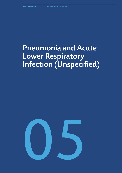# Pneumonia and Acute Lower Respiratory Infection (Unspecified)

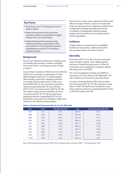## **Key Points**

- Pneumonia is the 5<sup>th</sup> most frequent cause of death in Ireland
- People with pneumonia and acute lower respiratory infection (unspecified) are largely treated in the community setting
- People with pneumonia and acute lower respiratory infection (unspecified) in 2016 accounted for 31.7% of respiratory inpatient hospitalisations and 40.3 % of respiratory inpatient bed days

## **Background**

Acute lower respiratory infections are a leading cause of morbidity and mortality in children and adults. Pneumonia is the 5<sup>th</sup> most frequent cause of death in Ireland *<sup>1</sup>* .

As acute lower respiratory infections are not uniformly defined, this can hamper an appreciation of their epidemiological importance*<sup>2</sup>* . In epidemiological data recording, acute lower respiratory infections can include acute bronchitis (ICD 10: J20), acute bronchiolitis (ICD 10: J21), acute lower respiratory infection (unspecified) (ICD 10: J22), influenza (ICD 10: J10, J11) and pneumonia (ICD 10: J12-18). This chapter, unless otherwise specified, will focus on pneumonia (ICD 10: J12-18) and acute lower respiratory infection (unspecified) (ICD 10: J22). Bronchiolitis is discussed in the Paediatric chapter and influenza in the Infectious disease chapter.

Pneumonia is a severe, acute, respiratory infection that affects the lungs*<sup>3</sup>* . Bacteria, viruses and occasionally fungi can cause pneumonia*<sup>2</sup>* . Respiratory infection due to Legionella (including Legionella pneumonia), is included in the Respiratory Infectious disease chapter. Acute bronchitis occurs in people without chronic lung disease.

# **Incidence**

Incidence data at a national level is not available. As these are acute events, incidence data rather than prevalence data is the data of interest.

## **Mortality**

Pneumonia (ICD 10: J12-18) is the 5th commonest cause of death in Ireland*<sup>1</sup>* . Over 1,000 people die each year in Ireland from pneumonia. It is the 3rd commonest cause of death from respiratory disease after lung cancer and COPD*<sup>1</sup>* .

The 5 year standardised mortality rate (SMR) for pneumonia (J12-18) is shown in the table below. The rate of decline over the past few years has slowed.

For years of potential life lost (YPLL) due to deaths from pneumonia (ICD 10: J12-18), see section on age below. In 2007, 191 deaths were recorded for acute lower respiratory infection (unspecified) (ICD 10: J22); in 2015, this number was 144*<sup>4</sup>* .

| <b>Year</b> | <b>Total</b> | /100,000 population | 5yrs        | <b>Standardised Mortality Rate</b> |
|-------------|--------------|---------------------|-------------|------------------------------------|
| 2007        | 1125         | 25.71               | 2003-07     | 92.77                              |
| 2008        | 1356         | 30.23               | 2004-08     | 81.52                              |
| 2009        | 1320         | 29.09               | 2005-09     | 74.54                              |
| 2010        | 1141         | 25.04               | 2006-10     | 65.06                              |
| 2011        | 1057         | 23.04               | 2007-11     | 54.88                              |
| 2012        | 1086         | 23.64               | 2008-12     | 52.65                              |
| 2013        | 983          | 21.30               | 2009-13     | 47.68                              |
| 2014        | 1003         | 21.59               | 2010-14     | 43.96                              |
| 2015        | 1165         | 24.85               | $2011 - 15$ | 43.45                              |
| $*$ 2016    | 1049         | 22.13               | 2012-16     | 41.87                              |

#### **Table 5.1. Deaths from Pneumonia (ICD 10: J12-18): 2007-2016**

*Source: Public Health Information System (PHIS) \*ICD 10 coding for deaths introduced in 2007. \*\* Provisional data for 2016*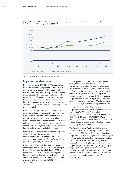

**Figure 5.1. Inpatient hospitalisations with a primary diagnosis of pneumonia or acute lower respiratory infection (Acute LRI) (unspecified), 2009-2016**

*Source: HIPE 2009-2016. All hospitals reporting data to HIPE* 

### **Impact on health services**

Data on pneumonia (ICD 10: J12-18) or acute lower respiratory infection (unspecified) (ICD 10: J22) is not available at a national level for people with full medical cards, those with GP only cards or those who are private patients. This is also true for those who attend GP out of hours services, those who attend Emergency Departments and those who attend hospital Outpatient Departments. Inpatient or day case data is only available from HIPE reporting publicly funded hospitals.

Both pneumonia (ICD 10: J12-18) and acute lower respiratory infection (unspecified) (ICD 10: J22) are largely treated in the community, hospitalisations are only the tip of the iceberg in terms of burden both on patients and on health services. The number of inpatient hospitalisations for acute bronchitis is relatively low. In 2016, there were 236 such inpatient hospitalisations using a total of 539 bed days.

In terms of publicly funded acute hospitals, figure 5.1 above, reflects the increasing burden on inpatient hospital services for both pneumonia (ICD 10: J12-18) and acute lower respiratory infection (unspecified) (ICD 10: J22) for the years 2009-2016.

For the years 2007-2016, the crude in-hospital mortality for pneumonia (ICD 10: J12-18) changed from 13.8 deaths per 100 admissions in 2007 to 11.1 deaths per 100 admissions in 2016 among the 32 included hospitals*<sup>5</sup>* . The standardised mortality rate (SMR) in 2016 (99.8% control limits), as opposed to crude mortality, ranged from 162 (39-170) to 28 (25-188)*<sup>5</sup>* .

In 2016, pneumonia (ICD 10: J12-J18) accounted for 13,048 inpatient hospitalisations (14.1% of respiratory inpatient hospitalisations) while acute lower respiratory infection (unspecified) (ICD 10: J22) accounted for 16,245 (17.6%) i.e. a combined total of 29,293, which is 31.7% of all inpatient respiratory hospitalisations and 4.5% of all inpatient hospitalisations. In terms of inpatient bed days, the two conditions accounted for 40.3% of respiratory inpatient bed days or 6.3% of all inpatient bed days.

In 2016, 97.7% (15,879) of the inpatient hospitalisations for acute lower respiratory infection (unspecified) (ICD 10: J22) were admitted as emergencies. The figure for those with pneumonia (ICD 10: J12-18) was 98.3% (12,821). When combined, they accounted for 6.9% of all emergency inpatient hospitalisations and 36.7% of respiratory emergency hospitalisations.

The Activity in Acute Public Hospitals in Ireland Report for 2016 listed three respiratory conditions among its top 10 Principal Diagnoses for inpatient hospitalisations*<sup>6</sup>* . Following spontaneous delivery, pain in throat and chest and delivery by caesarean section, in 4<sup>th</sup> place was acute lower respiratory infection (unspecified) and in 8th place, pneumonia organism unspecified (ICD 10: J18)*<sup>6</sup>* . Among the top Principal Diagnoses for emergency hospitalisations, after pain in throat and chest, in 2<sup>nd</sup> place was acute lower respiratory infection (unspecified) while In joint 4th place was pneumonia organism unspecified (ICD 10: J18)*<sup>6</sup>* .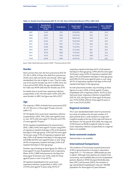| Year    | <b>Standardised</b><br><b>Mortality Rate:</b><br>all ages | <b>Total deaths</b> | Deaths aged<br>$<$ 70yrs (%) | YPLL up to 70 yrs | YPLL/100,000<br>population |
|---------|-----------------------------------------------------------|---------------------|------------------------------|-------------------|----------------------------|
| 2007    | 55.45                                                     | 1125                | $92(8.2\%)$                  | 1021              | 24.9                       |
| 2008    | 63.87                                                     | 1356                | 110 (8.1%)                   | 1421              | 34.0                       |
| 2009    | 59.75                                                     | 1320                | 108 (8.2%)                   | 1529              | 35.2                       |
| 2010    | 50.34                                                     | 1141                | $110(9.6\%)$                 | 1719              | 39.4                       |
| 2011    | 45.38                                                     | 1057                | 77 (7.3%)                    | 844               | 18.9                       |
| 2012    | 45.80                                                     | 1086                | 75 (6.9%)                    | 777               | 20.2                       |
| 2013    | 40.47                                                     | 983                 | $55(5.6\%)$                  | 861               | 20.5                       |
| 2014    | 39.39                                                     | 1003                | 79 (7.9%)                    | 905               | 22.2                       |
| 2015    | 44.32                                                     | 1165                | $81(6.9\%)$                  | 1287              | 29.3                       |
| $*2016$ | 38.40                                                     | 1049                | $95(9.1\%)$                  | 1237              | 28.7                       |

#### **Table 5.2. Deaths from Pneumonia (ICD 10: J12-18): Years of Potential Life lost (YPLL): 2007-2016**

*Source: Public Health Information System (PHIS) \* Provisional data for 2016*

## **Gender**

More women than men die from pneumonia (ICD 10: J12-18). In 2016, of those who died from pneumonia, 43.6% were male and 56.4% were female. When agestandardised, the rate is higher in men. That for males was 45.35 and for females was 34.17 in 2016. Over the 5 year period 2012-2016, the age-standardised rate for males was 49.99 while that for females was 37.41.

For deaths due to acute lower respiratory infection (unspecified), of the 144 who died in 2015, 62% (91) were females. In 2007, the figure was 56% (107)*<sup>4</sup>* .

# **Age**

The majority (>90%) of deaths from pneumonia (ICD 10: J12-18) occur in those aged 70 years and over (table 5.2).

Of 144 deaths from acute lower respiratory infection (unspecified) in 2015, 73% (105) were aged 85 years or over, 18.1% (26) were aged 75 -84 years and 4.9% (7) were aged 65-74 years *<sup>4</sup>* .

Of the inpatient hospitalisations for pneumonia in 2016, 1,508 (11.6%) were aged 0-15 years using 8.9% of respiratory inpatient bed days (1.9% of all inpatient bed days) in that age group, 3,455 (26.5%) were aged 16-64 years using 17.4% of respiratory inpatient bed days (1.8% of all inpatient bed days) in that age group and 8,085 (62.0%) were aged 65 years or over using 26.4% of respiratory inpatient bed days (5.0% of all inpatient bed days) in that age group.

Another way of looking at these figures for 2016 is, of those aged 0-15 years hospitalised with a respiratory illness, 6.4% (1,508) had pneumonia, the figure for those aged 16-64 years was 11.6%, while for those aged 65 years or over it was 20.7%.

Of inpatient hospitalisations for acute lower respiratory infection (unspecified) in 2016, 2,325 (14.3%) were aged 0-15 years using 10.5% of

respiratory inpatient bed days (6.1% of all inpatient bed days) in that age group, 4,910 (30.2%) were aged 16-64 years using 13.6% of respiratory inpatient bed days (1.4% of all inpatient bed days) in that age group and 9,010 (55.5%) were aged 65 years or over using 20.7% of respiratory inpatient bed days (4.4% of all inpatient bed days) in that age group.

As with pneumonia another way of looking at these figures is to say in 2016, of those aged 0-15 years, hospitalised with a respiratory illness, 10.2% (2,325) had acute lower respiratory infection (unspecified) (ICD 10: J22), the figure for those aged 16-64 years was 17.2% (4,910) while for those aged 65 years or over it was 23.2% (9,010).

## **Regional variation**

The 5 year standardised death rates for pneumonia by county of residence for the past number of 5 years periods show a wide variation in range with Longford usually at the top of the scale and Cavan at the bottom. For the period 2012-2016, the range was 25.09 (Cavan) to 98.38 (Longford). Data for acute lower respiratory infection (unspecified) on a regional basis is not available.

## **Socio-economic analysis**

National data is not available.

## **International Comparisons**

The incidence of Community-acquired pneumonia (CAP) in general practice in Europe is reported to range from 1.7–11.6 cases per 1,000 people per year in adults*<sup>2</sup>* . Although most patients are treated in the community, most available data are from hospitalised patients. Based on WHO (Europe) Morbidity data base (2011) and Eurostat (2012), the variation in age-standardised hospitalisation rates per 100,000 population for those aged ≥15 years between